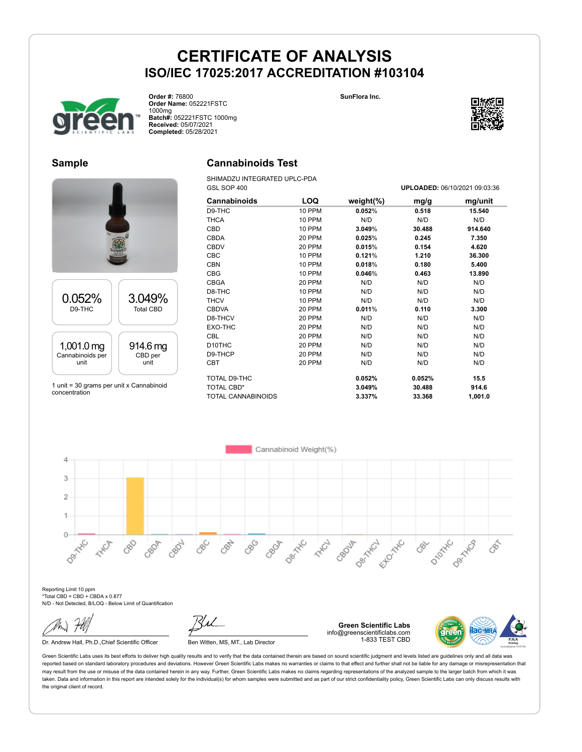



**Order #:** 76800 **Order Name:** 052221FSTC 1000mg **Batch#:** 052221FSTC 1000mg **Received:** 05/07/2021 **Completed:** 05/28/2021

#### **Sample**

# 0.052% D9-THC 3.049% Total CBD 1,001.0 mg Cannabinoids per unit 914.6 mg CBD per unit

1 unit = 30 grams per unit x Cannabinoid concentration

### **Cannabinoids Test**

SHIMADZU INTEGRATED UPLC-PDA GSL SOP 400 **UPLOADED:** 06/10/2021 09:03:36

| <b>Cannabinoids</b> | LOQ           | weight $(\%)$ | mg/g   | mg/unit |
|---------------------|---------------|---------------|--------|---------|
| D9-THC              | <b>10 PPM</b> | 0.052%        | 0.518  | 15.540  |
| <b>THCA</b>         | 10 PPM        | N/D           | N/D    | N/D     |
| CBD                 | 10 PPM        | 3.049%        | 30.488 | 914.640 |
| <b>CBDA</b>         | 20 PPM        | 0.025%        | 0.245  | 7.350   |
| <b>CBDV</b>         | 20 PPM        | 0.015%        | 0.154  | 4.620   |
| <b>CBC</b>          | 10 PPM        | 0.121%        | 1.210  | 36.300  |
| <b>CBN</b>          | 10 PPM        | 0.018%        | 0.180  | 5.400   |
| <b>CBG</b>          | 10 PPM        | 0.046%        | 0.463  | 13.890  |
| <b>CBGA</b>         | 20 PPM        | N/D           | N/D    | N/D     |
| D8-THC              | 10 PPM        | N/D           | N/D    | N/D     |
| <b>THCV</b>         | 10 PPM        | N/D           | N/D    | N/D     |
| <b>CBDVA</b>        | 20 PPM        | 0.011%        | 0.110  | 3.300   |
| D8-THCV             | 20 PPM        | N/D           | N/D    | N/D     |
| EXO-THC             | 20 PPM        | N/D           | N/D    | N/D     |
| <b>CBL</b>          | 20 PPM        | N/D           | N/D    | N/D     |
| D <sub>10</sub> THC | 20 PPM        | N/D           | N/D    | N/D     |
| D9-THCP             | 20 PPM        | N/D           | N/D    | N/D     |
| <b>CBT</b>          | 20 PPM        | N/D           | N/D    | N/D     |
| TOTAL D9-THC        |               | 0.052%        | 0.052% | 15.5    |
| <b>TOTAL CBD*</b>   |               | 3.049%        | 30.488 | 914.6   |
| TOTAL CANNABINOIDS  |               | 3.337%        | 33.368 | 1,001.0 |

Cannabinoid Weight(%)  $\Delta$ 3  $\overline{2}$ 1  $\circ$ Decimental **Desired** CBC<sub>C</sub> CBN CBG CBOJF Ellowski Dentres DIDOXNEO **HAVE** 88 CBOP **HARCH** CBON  $\delta$ CRY ceor peripto

Reporting Limit 10 ppm \*Total CBD = CBD + CBDA x 0.877 N/D - Not Detected, B/LOQ - Below Limit of Quantification

Dr. Andrew Hall, Ph.D., Chief Scientific Officer Ben Witten, MS, MT., Lab Director

**Green Scientific Labs** info@greenscientificlabs.com 1-833 TEST CBD



Green Scientific Labs uses its best efforts to deliver high quality results and to verify that the data contained therein are based on sound scientific judgment and levels listed are guidelines only and all data was reported based on standard laboratory procedures and deviations. However Green Scientific Labs makes no warranties or claims to that effect and further shall not be liable for any damage or misrepresentation that may result from the use or misuse of the data contained herein in any way. Further, Green Scientific Labs makes no claims regarding representations of the analyzed sample to the larger batch from which it was taken. Data and information in this report are intended solely for the individual(s) for whom samples were submitted and as part of our strict confidentiality policy, Green Scientific Labs can only discuss results with the original client of record.

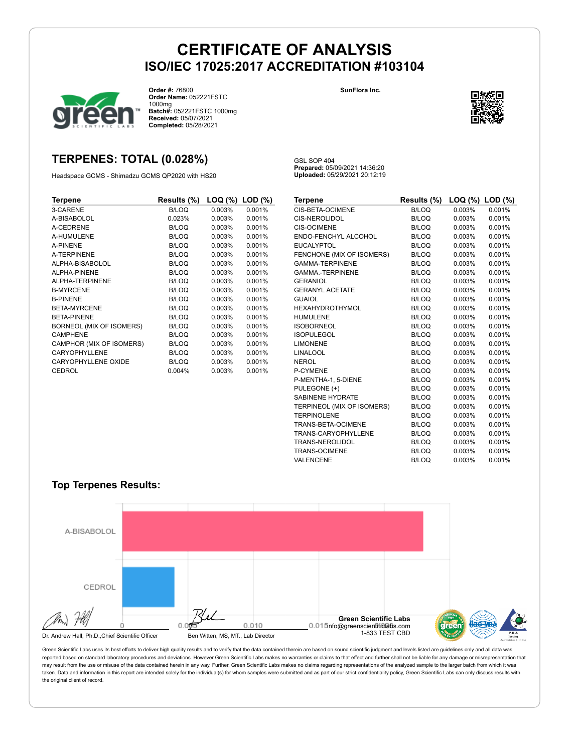

**Order #:** 76800 **Order Name:** 052221FSTC 1000mg **Batch#:** 052221FSTC 1000mg **Received:** 05/07/2021 **Completed:** 05/28/2021

### **TERPENES: TOTAL (0.028%)**

Headspace GCMS - Shimadzu GCMS QP2020 with HS20

GSL SOP 404 **Prepared:** 05/09/2021 14:36:20 **Uploaded:** 05/29/2021 20:12:19

| Terpene                  | Results (%) | LOQ (%) | $LOD$ $(\%)$ |
|--------------------------|-------------|---------|--------------|
| 3-CARENE                 | B/LOQ       | 0.003%  | 0.001%       |
| A-BISABOLOL              | 0.023%      | 0.003%  | 0.001%       |
| A-CEDRENE                | B/LOQ       | 0.003%  | 0.001%       |
| A-HUMULENE               | B/LOQ       | 0.003%  | 0.001%       |
| <b>A-PINENE</b>          | B/LOQ       | 0.003%  | 0.001%       |
| A-TERPINENE              | B/LOQ       | 0.003%  | 0.001%       |
| ALPHA-BISABOLOL          | B/LOQ       | 0.003%  | 0.001%       |
| ALPHA-PINENE             | B/LOQ       | 0.003%  | 0.001%       |
| ALPHA-TERPINENE          | B/LOQ       | 0.003%  | 0.001%       |
| <b>B-MYRCENE</b>         | B/LOQ       | 0.003%  | 0.001%       |
| <b>B-PINENE</b>          | B/LOQ       | 0.003%  | 0.001%       |
| BETA-MYRCENE             | B/LOQ       | 0.003%  | 0.001%       |
| BETA-PINENE              | B/LOQ       | 0.003%  | 0.001%       |
| BORNEOL (MIX OF ISOMERS) | B/LOQ       | 0.003%  | 0.001%       |
| CAMPHENE                 | B/LOQ       | 0.003%  | 0.001%       |
| CAMPHOR (MIX OF ISOMERS) | B/LOQ       | 0.003%  | 0.001%       |
| CARYOPHYLLENE            | B/LOQ       | 0.003%  | 0.001%       |
| CARYOPHYLLENE OXIDE      | B/LOQ       | 0.003%  | 0.001%       |
| CEDROL                   | 0.004%      | 0.003%  | 0.001%       |

| Terpene                    | Results (%)  | $\textsf{LOQ}$ (%) $\textsf{LOD}$ (%) |        |
|----------------------------|--------------|---------------------------------------|--------|
| CIS-BETA-OCIMENE           | <b>B/LOQ</b> | 0.003%                                | 0.001% |
| <b>CIS-NEROLIDOL</b>       | <b>B/LOQ</b> | 0.003%                                | 0.001% |
| <b>CIS-OCIMENE</b>         | <b>B/LOQ</b> | 0.003%                                | 0.001% |
| ENDO-FENCHYL ALCOHOL       | <b>B/LOQ</b> | 0.003%                                | 0.001% |
| EUCALYPTOL                 | <b>B/LOQ</b> | 0.003%                                | 0.001% |
| FENCHONE (MIX OF ISOMERS)  | <b>B/LOQ</b> | 0.003%                                | 0.001% |
| <b>GAMMA-TERPINENE</b>     | <b>B/LOQ</b> | 0.003%                                | 0.001% |
| <b>GAMMA-TERPINENE</b>     | B/LOQ        | 0.003%                                | 0.001% |
| <b>GERANIOL</b>            | <b>B/LOQ</b> | 0.003%                                | 0.001% |
| <b>GERANYL ACETATE</b>     | <b>B/LOQ</b> | 0.003%                                | 0.001% |
| <b>GUAIOL</b>              | <b>B/LOQ</b> | 0.003%                                | 0.001% |
| HEXAHYDROTHYMOL            | <b>B/LOQ</b> | 0.003%                                | 0.001% |
| <b>HUMULENE</b>            | <b>B/LOQ</b> | 0.003%                                | 0.001% |
| <b>ISOBORNEOL</b>          | <b>B/LOQ</b> | 0.003%                                | 0.001% |
| <b>ISOPULEGOL</b>          | <b>B/LOQ</b> | 0.003%                                | 0.001% |
| <b>LIMONENE</b>            | B/LOQ        | 0.003%                                | 0.001% |
| LINALOOL                   | B/LOQ        | 0.003%                                | 0.001% |
| NEROL                      | <b>B/LOQ</b> | 0.003%                                | 0.001% |
| P-CYMENE                   | B/LOQ        | 0.003%                                | 0.001% |
| P-MENTHA-1, 5-DIENE        | <b>B/LOQ</b> | 0.003%                                | 0.001% |
| PULEGONE (+)               | B/LOQ        | 0.003%                                | 0.001% |
| <b>SABINENE HYDRATE</b>    | <b>B/LOQ</b> | 0.003%                                | 0.001% |
| TERPINEOL (MIX OF ISOMERS) | <b>B/LOQ</b> | 0.003%                                | 0.001% |
| <b>TERPINOLENE</b>         | B/LOQ        | 0.003%                                | 0.001% |
| TRANS-BETA-OCIMENE         | <b>B/LOQ</b> | 0.003%                                | 0.001% |
| TRANS-CARYOPHYLLENE        | <b>B/LOQ</b> | 0.003%                                | 0.001% |
| TRANS-NEROLIDOL            | <b>B/LOQ</b> | 0.003%                                | 0.001% |
| TRANS-OCIMENE              | <b>B/LOQ</b> | 0.003%                                | 0.001% |
| VALENCENE                  | <b>B/LOQ</b> | 0.003%                                | 0.001% |

### **Top Terpenes Results:**



Green Scientific Labs uses its best efforts to deliver high quality results and to verify that the data contained therein are based on sound scientific judgment and levels listed are guidelines only and all data was reported based on standard laboratory procedures and deviations. However Green Scientific Labs makes no warranties or claims to that effect and further shall not be liable for any damage or misrepresentation that may result from the use or misuse of the data contained herein in any way. Further, Green Scientific Labs makes no claims regarding representations of the analyzed sample to the larger batch from which it was taken. Data and information in this report are intended solely for the individual(s) for whom samples were submitted and as part of our strict confidentiality policy, Green Scientific Labs can only discuss results with the original client of record.

#### **SunFlora Inc.**

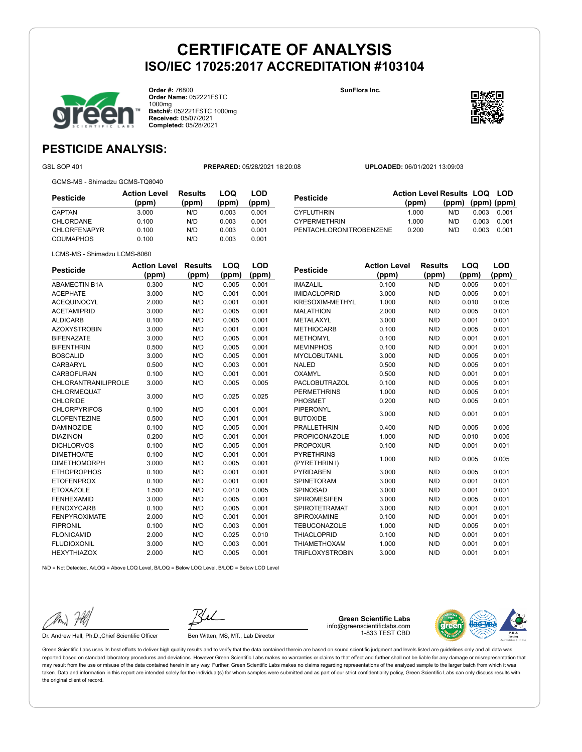

**Order #:** 76800 **Order Name:** 052221FSTC 1000mg **Batch#:** 052221FSTC 1000mg **Received:** 05/07/2021 **Completed:** 05/28/2021

**SunFlora Inc.**



### **PESTICIDE ANALYSIS:**

GSL SOP 401 **PREPARED:** 05/28/2021 18:20:08 **UPLOADED:** 06/01/2021 13:09:03

GCMS-MS - Shimadzu GCMS-TQ8040

**Pesticide Action Level (ppm) Results (ppm) LOQ (ppm) LOD (ppm)** CAPTAN 3.000 N/D 0.003 0.001 CHLORDANE 0.100 N/D 0.003 0.001 CHLORFENAPYR 0.100 N/D 0.003 0.001 COUMAPHOS 0.100 N/D 0.003 0.001

| <b>Pesticide</b>               | <b>Action Level Results LOQ LOD</b> |                         |       |       |
|--------------------------------|-------------------------------------|-------------------------|-------|-------|
|                                | (ppm)                               | $(ppm)$ $(ppm)$ $(ppm)$ |       |       |
| <b>CYFLUTHRIN</b>              | 1.000                               | N/D                     | 0.003 | 0.001 |
| <b>CYPERMETHRIN</b>            | 1.000                               | N/D                     | 0.003 | 0.001 |
| <b>PENTACHLORONITROBENZENE</b> | 0.200                               | N/D                     | 0.003 | 0.001 |

LCMS-MS - Shimadzu LCMS-8060

| <b>Pesticide</b>           | <b>Action Level</b> | <b>Results</b> | LOQ   | LOD   |
|----------------------------|---------------------|----------------|-------|-------|
|                            | (ppm)               | (ppm)          | (ppm) | (ppm) |
| <b>ABAMECTIN B1A</b>       | 0.300               | N/D            | 0.005 | 0.001 |
| <b>ACEPHATE</b>            | 3.000               | N/D            | 0.001 | 0.001 |
| <b>ACEQUINOCYL</b>         | 2.000               | N/D            | 0.001 | 0.001 |
| <b>ACETAMIPRID</b>         | 3.000               | N/D            | 0.005 | 0.001 |
| <b>ALDICARB</b>            | 0.100               | N/D            | 0.005 | 0.001 |
| <b>AZOXYSTROBIN</b>        | 3.000               | N/D            | 0.001 | 0.001 |
| <b>BIFENAZATE</b>          | 3.000               | N/D            | 0.005 | 0.001 |
| <b>BIFENTHRIN</b>          | 0.500               | N/D            | 0.005 | 0.001 |
| <b>BOSCALID</b>            | 3.000               | N/D            | 0.005 | 0.001 |
| CARBARYL                   | 0.500               | N/D            | 0.003 | 0.001 |
| <b>CARBOFURAN</b>          | 0.100               | N/D            | 0.001 | 0.001 |
| <b>CHLORANTRANILIPROLE</b> | 3.000               | N/D            | 0.005 | 0.005 |
| <b>CHLORMEQUAT</b>         | 3.000               | N/D            | 0.025 | 0.025 |
| <b>CHLORIDE</b>            |                     |                |       |       |
| <b>CHLORPYRIFOS</b>        | 0.100               | N/D            | 0.001 | 0.001 |
| <b>CLOFENTEZINE</b>        | 0.500               | N/D            | 0.001 | 0.001 |
| <b>DAMINOZIDE</b>          | 0.100               | N/D            | 0.005 | 0.001 |
| <b>DIAZINON</b>            | 0.200               | N/D            | 0.001 | 0.001 |
| <b>DICHLORVOS</b>          | 0.100               | N/D            | 0.005 | 0.001 |
| <b>DIMETHOATE</b>          | 0.100               | N/D            | 0.001 | 0.001 |
| <b>DIMETHOMORPH</b>        | 3.000               | N/D            | 0.005 | 0.001 |
| <b>ETHOPROPHOS</b>         | 0.100               | N/D            | 0.001 | 0.001 |
| <b>ETOFENPROX</b>          | 0.100               | N/D            | 0.001 | 0.001 |
| <b>ETOXAZOLE</b>           | 1.500               | N/D            | 0.010 | 0.005 |
| <b>FENHEXAMID</b>          | 3.000               | N/D            | 0.005 | 0.001 |
| <b>FENOXYCARB</b>          | 0.100               | N/D            | 0.005 | 0.001 |
| <b>FENPYROXIMATE</b>       | 2.000               | N/D            | 0.001 | 0.001 |
| <b>FIPRONIL</b>            | 0.100               | N/D            | 0.003 | 0.001 |
| <b>FLONICAMID</b>          | 2.000               | N/D            | 0.025 | 0.010 |
| <b>FLUDIOXONIL</b>         | 3.000               | N/D            | 0.003 | 0.001 |
| <b>HEXYTHIAZOX</b>         | 2.000               | N/D            | 0.005 | 0.001 |

| Pesticide            | <b>Action Level</b><br>(ppm) | Results<br>(ppm) | LOQ<br>(ppm) | LOD<br>(ppm) |
|----------------------|------------------------------|------------------|--------------|--------------|
| IMAZALIL             | 0.100                        | N/D              | 0.005        | 0.001        |
| <b>IMIDACLOPRID</b>  | 3.000                        | N/D              | 0.005        | 0.001        |
| KRESOXIM-METHYL      | 1.000                        | N/D              | 0.010        | 0.005        |
| <b>MALATHION</b>     | 2.000                        | N/D              | 0.005        | 0.001        |
| METALAXYL            | 3.000                        | N/D              | 0.001        | 0.001        |
| <b>METHIOCARB</b>    | 0.100                        | N/D              | 0.005        | 0.001        |
| <b>METHOMYL</b>      | 0.100                        | N/D              | 0.001        | 0.001        |
| <b>MEVINPHOS</b>     | 0.100                        | N/D              | 0.001        | 0.001        |
| MYCLOBUTANIL         | 3.000                        | N/D              | 0.005        | 0.001        |
| NALED                | 0.500                        | N/D              | 0.005        | 0.001        |
| OXAMYL               | 0.500                        | N/D              | 0.001        | 0.001        |
| <b>PACLOBUTRAZOL</b> | 0.100                        | N/D              | 0.005        | 0.001        |
| <b>PERMETHRINS</b>   | 1.000                        | N/D              | 0.005        | 0.001        |
| PHOSMET              | 0.200                        | N/D              | 0.005        | 0.001        |
| PIPERONYL            |                              |                  |              |              |
| <b>BUTOXIDE</b>      | 3.000                        | N/D              | 0.001        | 0.001        |
| <b>PRALLETHRIN</b>   | 0.400                        | N/D              | 0.005        | 0.005        |
| <b>PROPICONAZOLE</b> | 1.000                        | N/D              | 0.010        | 0.005        |

PROPOXUR 0.100 N/D 0.001 0.001

PYRETHRINS 1.000 N/D 0.005 0.005<br>(PYRETHRIN I) PYRIDABEN 3.000 N/D 0.005 0.001 SPINETORAM 3.000 N/D 0.001 0.001 SPINOSAD 3.000 N/D 0.001 0.001 SPIROMESIFEN 3.000 N/D 0.005 0.001 SPIROTETRAMAT 3.000 N/D 0.001 0.001 SPIROXAMINE 0.100 N/D 0.001 0.001 TEBUCONAZOLE 1.000 N/D 0.005 0.001 THIACLOPRID 0.100 N/D 0.001 0.001 THIAMETHOXAM 1.000 N/D 0.001 0.001 TRIFLOXYSTROBIN 3.000 N/D 0.001 0.001

N/D = Not Detected, A/LOQ = Above LOQ Level, B/LOQ = Below LOQ Level, B/LOD = Below LOD Level

Dr. Andrew Hall, Ph.D., Chief Scientific Officer Ben Witten, MS, MT., Lab Director

**Green Scientific Labs** info@greenscientificlabs.com 1-833 TEST CBD



Green Scientific Labs uses its best efforts to deliver high quality results and to verify that the data contained therein are based on sound scientific judgment and levels listed are guidelines only and all data was reported based on standard laboratory procedures and deviations. However Green Scientific Labs makes no warranties or claims to that effect and further shall not be liable for any damage or misrepresentation that may result from the use or misuse of the data contained herein in any way. Further, Green Scientific Labs makes no claims regarding representations of the analyzed sample to the larger batch from which it was taken. Data and information in this report are intended solely for the individual(s) for whom samples were submitted and as part of our strict confidentiality policy. Green Scientific Labs can only discuss results with the original client of record.

PYRETHRINS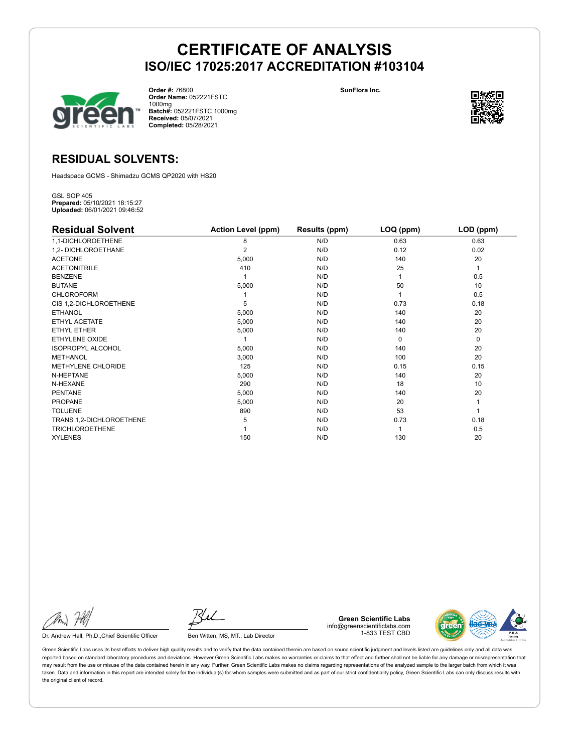

**Order #:** 76800 **Order Name:** 052221FSTC 1000mg **Batch#:** 052221FSTC 1000mg **Received:** 05/07/2021 **Completed:** 05/28/2021

**SunFlora Inc.**



### **RESIDUAL SOLVENTS:**

Headspace GCMS - Shimadzu GCMS QP2020 with HS20

GSL SOP 405 **Prepared:** 05/10/2021 18:15:27 **Uploaded:** 06/01/2021 09:46:52

| <b>Residual Solvent</b>   | <b>Action Level (ppm)</b> | Results (ppm) | LOQ (ppm) | LOD (ppm) |
|---------------------------|---------------------------|---------------|-----------|-----------|
| 1,1-DICHLOROETHENE        | 8                         | N/D           | 0.63      | 0.63      |
| 1,2- DICHLOROETHANE       | $\overline{2}$            | N/D           | 0.12      | 0.02      |
| <b>ACETONE</b>            | 5,000                     | N/D           | 140       | 20        |
| <b>ACETONITRILE</b>       | 410                       | N/D           | 25        | 1         |
| <b>BENZENE</b>            |                           | N/D           |           | 0.5       |
| <b>BUTANE</b>             | 5,000                     | N/D           | 50        | 10        |
| <b>CHLOROFORM</b>         |                           | N/D           |           | 0.5       |
| CIS 1,2-DICHLOROETHENE    | 5                         | N/D           | 0.73      | 0.18      |
| <b>ETHANOL</b>            | 5,000                     | N/D           | 140       | 20        |
| ETHYL ACETATE             | 5,000                     | N/D           | 140       | 20        |
| <b>ETHYL ETHER</b>        | 5,000                     | N/D           | 140       | 20        |
| ETHYLENE OXIDE            |                           | N/D           | $\Omega$  | 0         |
| <b>ISOPROPYL ALCOHOL</b>  | 5,000                     | N/D           | 140       | 20        |
| <b>METHANOL</b>           | 3,000                     | N/D           | 100       | 20        |
| <b>METHYLENE CHLORIDE</b> | 125                       | N/D           | 0.15      | 0.15      |
| N-HEPTANE                 | 5,000                     | N/D           | 140       | 20        |
| N-HEXANE                  | 290                       | N/D           | 18        | 10        |
| <b>PENTANE</b>            | 5,000                     | N/D           | 140       | 20        |
| <b>PROPANE</b>            | 5,000                     | N/D           | 20        |           |
| <b>TOLUENE</b>            | 890                       | N/D           | 53        |           |
| TRANS 1,2-DICHLOROETHENE  | 5                         | N/D           | 0.73      | 0.18      |
| <b>TRICHLOROETHENE</b>    |                           | N/D           |           | 0.5       |
| <b>XYLENES</b>            | 150                       | N/D           | 130       | 20        |

Dr. Andrew Hall, Ph.D., Chief Scientific Officer Ben Witten, MS, MT., Lab Director

**Green Scientific Labs** info@greenscientificlabs.com 1-833 TEST CBD



Green Scientific Labs uses its best efforts to deliver high quality results and to verify that the data contained therein are based on sound scientific judgment and levels listed are guidelines only and all data was reported based on standard laboratory procedures and deviations. However Green Scientific Labs makes no warranties or claims to that effect and further shall not be liable for any damage or misrepresentation that may result from the use or misuse of the data contained herein in any way. Further, Green Scientific Labs makes no claims regarding representations of the analyzed sample to the larger batch from which it was taken. Data and information in this report are intended solely for the individual(s) for whom samples were submitted and as part of our strict confidentiality policy, Green Scientific Labs can only discuss results with the original client of record.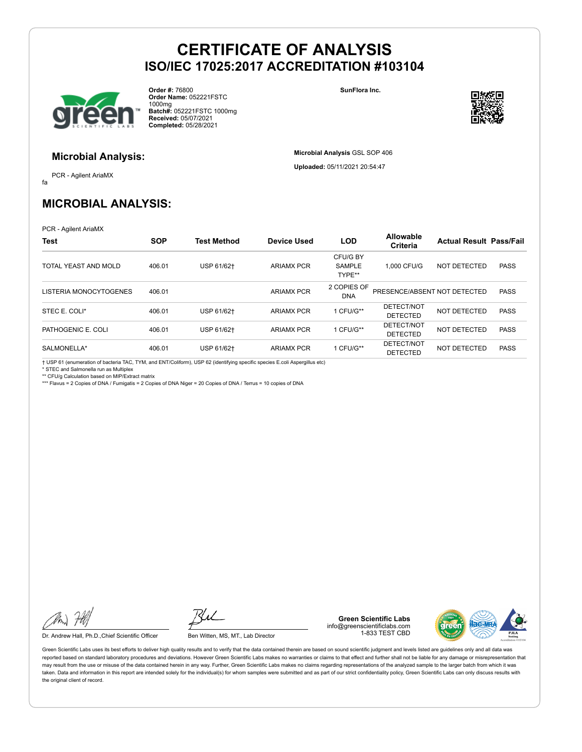

**Order #:** 76800 **Order Name:** 052221FSTC 1000mg **Batch#:** 052221FSTC 1000mg **Received:** 05/07/2021 **Completed:** 05/28/2021

**SunFlora Inc.**

**Microbial Analysis** GSL SOP 406 **Uploaded:** 05/11/2021 20:54:47



### **Microbial Analysis:**

fa PCR - Agilent AriaMX

### **MICROBIAL ANALYSIS:**

PCR - Agilent AriaMX

| <b>Test</b>            | <b>SOP</b> | <b>Test Method</b> | <b>Device Used</b> | <b>LOD</b>                          | Allowable<br>Criteria         | <b>Actual Result Pass/Fail</b> |             |
|------------------------|------------|--------------------|--------------------|-------------------------------------|-------------------------------|--------------------------------|-------------|
| TOTAL YEAST AND MOLD   | 406.01     | USP 61/62+         | <b>ARIAMX PCR</b>  | CFU/G BY<br><b>SAMPLE</b><br>TYPE** | 1.000 CFU/G                   | NOT DETECTED                   | <b>PASS</b> |
| LISTERIA MONOCYTOGENES | 406.01     |                    | <b>ARIAMX PCR</b>  | 2 COPIES OF<br><b>DNA</b>           | PRESENCE/ABSENT NOT DETECTED  |                                | <b>PASS</b> |
| STEC E. COLI*          | 406.01     | USP 61/62+         | <b>ARIAMX PCR</b>  | 1 CFU/G**                           | DETECT/NOT<br><b>DETECTED</b> | NOT DETECTED                   | <b>PASS</b> |
| PATHOGENIC E. COLI     | 406.01     | USP 61/62+         | <b>ARIAMX PCR</b>  | 1 CFU/G**                           | DETECT/NOT<br><b>DETECTED</b> | NOT DETECTED                   | <b>PASS</b> |
| SALMONELLA*            | 406.01     | USP 61/62+         | <b>ARIAMX PCR</b>  | 1 CFU/G**                           | DETECT/NOT<br><b>DETECTED</b> | <b>NOT DETECTED</b>            | <b>PASS</b> |

† USP 61 (enumeration of bacteria TAC, TYM, and ENT/Coliform), USP 62 (identifying specific species E.coli Aspergillus etc) \* STEC and Salmonella run as Multiplex

\*\* CFU/g Calculation based on MIP/Extract matrix

\*\*\* Flavus = 2 Copies of DNA / Fumigatis = 2 Copies of DNA Niger = 20 Copies of DNA / Terrus = 10 copies of DNA

Dr. Andrew Hall, Ph.D., Chief Scientific Officer Ben Witten, MS, MT., Lab Director

**Green Scientific Labs** info@greenscientificlabs.com 1-833 TEST CBD



Green Scientific Labs uses its best efforts to deliver high quality results and to verify that the data contained therein are based on sound scientific judgment and levels listed are guidelines only and all data was reported based on standard laboratory procedures and deviations. However Green Scientific Labs makes no warranties or claims to that effect and further shall not be liable for any damage or misrepresentation that may result from the use or misuse of the data contained herein in any way. Further, Green Scientific Labs makes no claims regarding representations of the analyzed sample to the larger batch from which it was taken. Data and information in this report are intended solely for the individual(s) for whom samples were submitted and as part of our strict confidentiality policy, Green Scientific Labs can only discuss results with the original client of record.